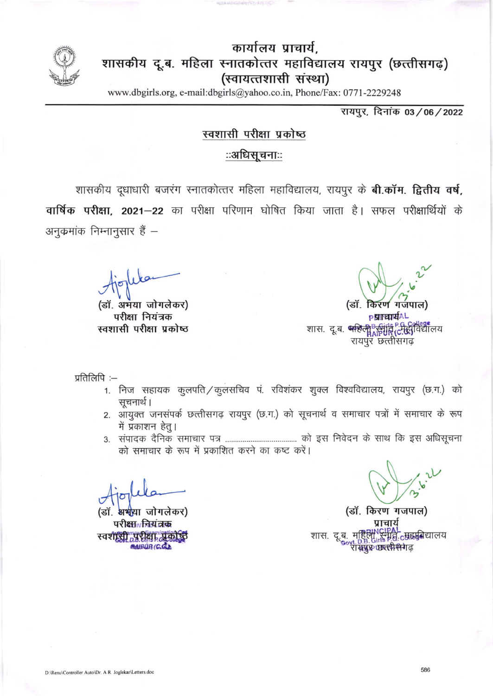

## कार्यालय प्राचार्य, शासकीय दू.ब. महिला स्नातकोत्तर महाविद्यालय रायपूर (छत्तीसगढ़) (स्वायत्तशासी संस्था)

www.dbgirls.org, e-mail:dbgirls@yahoo.co.in, Phone/Fax: 0771-2229248

रायपुर, दिनांक 03/06/2022

## स्वशासी परीक्षा प्रकोष्ठ

## ःअधिसचनाःः

शासकीय दुधाधारी बजरंग स्नातकोत्तर महिला महाविद्यालय, रायपुर के **बी.कॉम. द्वितीय वर्ष,** वार्षिक परीक्षा, 2021-22 का परीक्षा परिणाम घोषित किया जाता है। सफल परीक्षार्थियों के अनुक्रमांक निम्नानुसार हैं –

(डॉ. अभया जोगलेकर) परीक्षा नियंत्रक स्वशासी परीक्षा प्रकोष्ठ

करण गजपाल) (डॉ. **PRITEINEAL** शास. दू.ब. प्रशिक्षु द्विधि दिनिर्दीविद्यालय रायपुर छत्तीसगढ

प्रतिलिपि:-

- 1. निज सहायक कुलपति / कुलसचिव पं. रविशंकर शुक्ल विश्वविद्यालय, रायपुर (छ.ग.) को सुचनार्थ ।
- 2. आयुक्त जनसंपर्क छत्तीसगढ़ रायपुर (छ.ग.) को सूचनार्थ व समाचार पत्रों में समाचार के रूप में प्रकाशन हेतु।
- को समाचार के रूप में प्रकाशित करने का कष्ट करें।

अभया जोगलेकर) (डॉ परी<del>क्षा नियंत्रक</del> स्वशासी परीक्षा प्रकोष्ठ BAIRUR (C.C.)

(डॉ. किरण गजपाल) प्राचाये शास. दू.ब. महिल्या संगति टुम्रहर्मुबेद्यालय soyt. D.B. Gills<br>रा**सप्रुप्त धारत्मि सिने**।ढ़